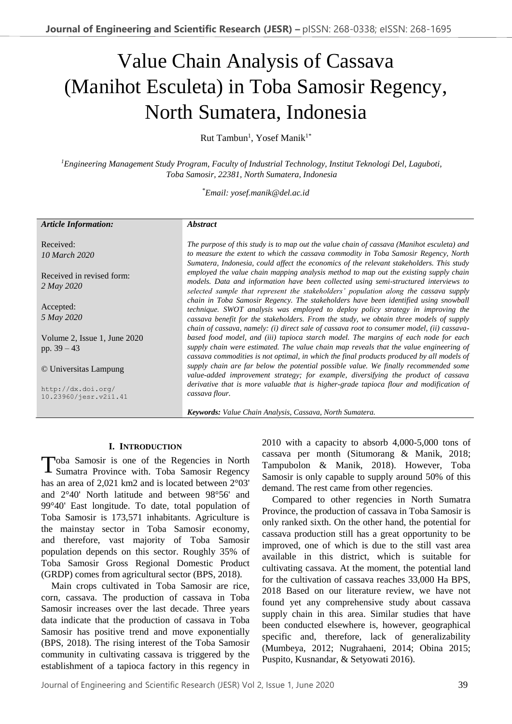# Value Chain Analysis of Cassava (Manihot Esculeta) in Toba Samosir Regency, North Sumatera, Indonesia

Rut Tambun<sup>1</sup>, Yosef Manik<sup>1\*</sup>

*<sup>1</sup>Engineering Management Study Program, Faculty of Industrial Technology, Institut Teknologi Del, Laguboti, Toba Samosir, 22381, North Sumatera, Indonesia*

\**Email: yosef.manik@del.ac.id*

#### *Article Information:*

Received: *10 March 2020*

Received in revised form: *2 May 2020*

Accepted: *5 May 2020*

Volume 2, Issue 1, June 2020 pp. 39 – 43

© Universitas Lampung

http://dx.doi.org/ 10.23960/jesr.v2i1.41

#### *Abstract*

*The purpose of this study is to map out the value chain of cassava (Manihot esculeta) and to measure the extent to which the cassava commodity in Toba Samosir Regency, North Sumatera, Indonesia, could affect the economics of the relevant stakeholders. This study employed the value chain mapping analysis method to map out the existing supply chain models. Data and information have been collected using semi-structured interviews to selected sample that represent the stakeholders' population along the cassava supply chain in Toba Samosir Regency. The stakeholders have been identified using snowball technique. SWOT analysis was employed to deploy policy strategy in improving the cassava benefit for the stakeholders. From the study, we obtain three models of supply chain of cassava, namely: (i) direct sale of cassava root to consumer model, (ii) cassavabased food model, and (iii) tapioca starch model. The margins of each node for each*  supply chain were estimated. The value chain map reveals that the value engineering of *cassava commodities is not optimal, in which the final products produced by all models of supply chain are far below the potential possible value. We finally recommended some value-added improvement strategy; for example, diversifying the product of cassava derivative that is more valuable that is higher-grade tapioca flour and modification of cassava flour.*

*Keywords: Value Chain Analysis, Cassava, North Sumatera.*

#### **I. INTRODUCTION**

Toba Samosir is one of the Regencies in North<br>Sumatra Province with. Toba Samosir Regency Sumatra Province with. Toba Samosir Regency has an area of 2,021 km2 and is located between 2°03' and 2°40' North latitude and between 98°56' and 99°40' East longitude. To date, total population of Toba Samosir is 173,571 inhabitants. Agriculture is the mainstay sector in Toba Samosir economy, and therefore, vast majority of Toba Samosir population depends on this sector. Roughly 35% of Toba Samosir Gross Regional Domestic Product (GRDP) comes from agricultural sector (BPS, 2018).

Main crops cultivated in Toba Samosir are rice, corn, cassava. The production of cassava in Toba Samosir increases over the last decade. Three years data indicate that the production of cassava in Toba Samosir has positive trend and move exponentially (BPS, 2018). The rising interest of the Toba Samosir community in cultivating cassava is triggered by the establishment of a tapioca factory in this regency in 2010 with a capacity to absorb 4,000-5,000 tons of cassava per month (Situmorang & Manik, 2018; Tampubolon & Manik, 2018). However, Toba Samosir is only capable to supply around 50% of this demand. The rest came from other regencies.

Compared to other regencies in North Sumatra Province, the production of cassava in Toba Samosir is only ranked sixth. On the other hand, the potential for cassava production still has a great opportunity to be improved, one of which is due to the still vast area available in this district, which is suitable for cultivating cassava. At the moment, the potential land for the cultivation of cassava reaches 33,000 Ha BPS, 2018 Based on our literature review, we have not found yet any comprehensive study about cassava supply chain in this area. Similar studies that have been conducted elsewhere is, however, geographical specific and, therefore, lack of generalizability (Mumbeya, 2012; Nugrahaeni, 2014; Obina 2015; Puspito, Kusnandar, & Setyowati 2016).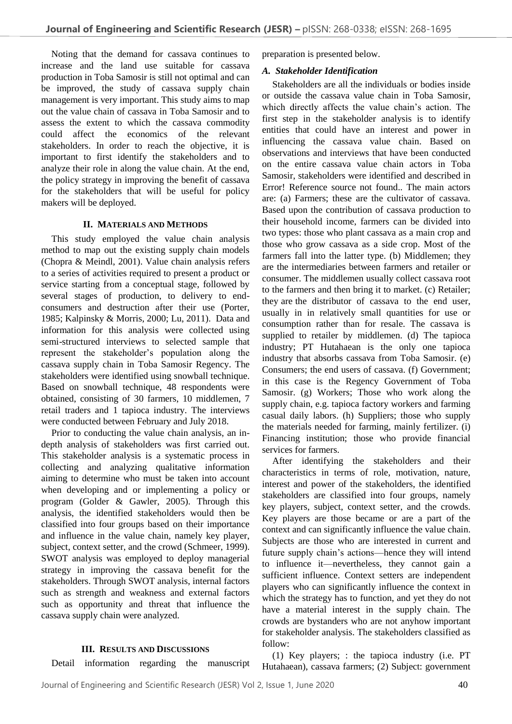Noting that the demand for cassava continues to increase and the land use suitable for cassava production in Toba Samosir is still not optimal and can be improved, the study of cassava supply chain management is very important. This study aims to map out the value chain of cassava in Toba Samosir and to assess the extent to which the cassava commodity could affect the economics of the relevant stakeholders. In order to reach the objective, it is important to first identify the stakeholders and to analyze their role in along the value chain. At the end, the policy strategy in improving the benefit of cassava for the stakeholders that will be useful for policy makers will be deployed.

## **II. MATERIALS AND METHODS**

This study employed the value chain analysis method to map out the existing supply chain models (Chopra & Meindl, 2001). Value chain analysis refers to a series of activities required to present a product or service starting from a conceptual stage, followed by several stages of production, to delivery to endconsumers and destruction after their use (Porter, 1985; Kalpinsky & Morris, 2000; Lu, 2011). Data and information for this analysis were collected using semi-structured interviews to selected sample that represent the stakeholder's population along the cassava supply chain in Toba Samosir Regency. The stakeholders were identified using snowball technique. Based on snowball technique, 48 respondents were obtained, consisting of 30 farmers, 10 middlemen, 7 retail traders and 1 tapioca industry. The interviews were conducted between February and July 2018.

Prior to conducting the value chain analysis, an indepth analysis of stakeholders was first carried out. This stakeholder analysis is a systematic process in collecting and analyzing qualitative information aiming to determine who must be taken into account when developing and or implementing a policy or program (Golder & Gawler, 2005). Through this analysis, the identified stakeholders would then be classified into four groups based on their importance and influence in the value chain, namely key player, subject, context setter, and the crowd (Schmeer, 1999). SWOT analysis was employed to deploy managerial strategy in improving the cassava benefit for the stakeholders. Through SWOT analysis, internal factors such as strength and weakness and external factors such as opportunity and threat that influence the cassava supply chain were analyzed.

## **III. RESULTS AND DISCUSSIONS**

Detail information regarding the manuscript

preparation is presented below.

## *A. Stakeholder Identification*

Stakeholders are all the individuals or bodies inside or outside the cassava value chain in Toba Samosir, which directly affects the value chain's action. The first step in the stakeholder analysis is to identify entities that could have an interest and power in influencing the cassava value chain. Based on observations and interviews that have been conducted on the entire cassava value chain actors in Toba Samosir, stakeholders were identified and described in Error! Reference source not found.. The main actors are: (a) Farmers; these are the cultivator of cassava. Based upon the contribution of cassava production to their household income, farmers can be divided into two types: those who plant cassava as a main crop and those who grow cassava as a side crop. Most of the farmers fall into the latter type. (b) Middlemen; they are the intermediaries between farmers and retailer or consumer. The middlemen usually collect cassava root to the farmers and then bring it to market. (c) Retailer; they are the distributor of cassava to the end user, usually in in relatively small quantities for use or consumption rather than for resale. The cassava is supplied to retailer by middlemen. (d) The tapioca industry; PT Hutahaean is the only one tapioca industry that absorbs cassava from Toba Samosir. (e) Consumers; the end users of cassava. (f) Government; in this case is the Regency Government of Toba Samosir. (g) Workers; Those who work along the supply chain, e.g. tapioca factory workers and farming casual daily labors. (h) Suppliers; those who supply the materials needed for farming, mainly fertilizer. (i) Financing institution; those who provide financial services for farmers.

After identifying the stakeholders and their characteristics in terms of role, motivation, nature, interest and power of the stakeholders, the identified stakeholders are classified into four groups, namely key players, subject, context setter, and the crowds. Key players are those became or are a part of the context and can significantly influence the value chain. Subjects are those who are interested in current and future supply chain's actions—hence they will intend to influence it—nevertheless, they cannot gain a sufficient influence. Context setters are independent players who can significantly influence the context in which the strategy has to function, and yet they do not have a material interest in the supply chain. The crowds are bystanders who are not anyhow important for stakeholder analysis. The stakeholders classified as follow:

(1) Key players; : the tapioca industry (i.e. PT Hutahaean), cassava farmers; (2) Subject: government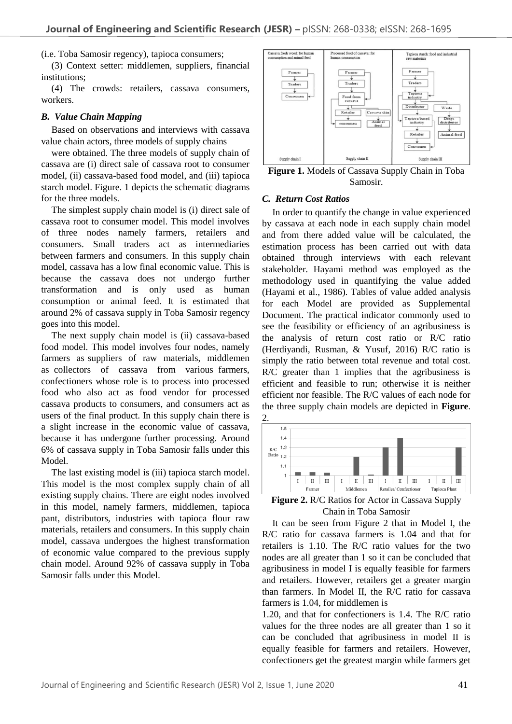(i.e. Toba Samosir regency), tapioca consumers;

(3) Context setter: middlemen, suppliers, financial institutions;

(4) The crowds: retailers, cassava consumers, workers.

#### *B. Value Chain Mapping*

Based on observations and interviews with cassava value chain actors, three models of supply chains

were obtained. The three models of supply chain of cassava are (i) direct sale of cassava root to consumer model, (ii) cassava-based food model, and (iii) tapioca starch model. Figure. 1 depicts the schematic diagrams for the three models.

The simplest supply chain model is (i) direct sale of cassava root to consumer model. This model involves of three nodes namely farmers, retailers and consumers. Small traders act as intermediaries between farmers and consumers. In this supply chain model, cassava has a low final economic value. This is because the cassava does not undergo further transformation and is only used as human consumption or animal feed. It is estimated that around 2% of cassava supply in Toba Samosir regency goes into this model.

The next supply chain model is (ii) cassava-based food model. This model involves four nodes, namely farmers as suppliers of raw materials, middlemen as collectors of cassava from various farmers, confectioners whose role is to process into processed food who also act as food vendor for processed cassava products to consumers, and consumers act as users of the final product. In this supply chain there is a slight increase in the economic value of cassava, because it has undergone further processing. Around 6% of cassava supply in Toba Samosir falls under this Model.

The last existing model is (iii) tapioca starch model. This model is the most complex supply chain of all existing supply chains. There are eight nodes involved in this model, namely farmers, middlemen, tapioca pant, distributors, industries with tapioca flour raw materials, retailers and consumers. In this supply chain model, cassava undergoes the highest transformation of economic value compared to the previous supply chain model. Around 92% of cassava supply in Toba Samosir falls under this Model.



**Figure 1.** Models of Cassava Supply Chain in Toba Samosir.

#### *C. Return Cost Ratios*

In order to quantify the change in value experienced by cassava at each node in each supply chain model and from there added value will be calculated, the estimation process has been carried out with data obtained through interviews with each relevant stakeholder. Hayami method was employed as the methodology used in quantifying the value added (Hayami et al., 1986). Tables of value added analysis for each Model are provided as Supplemental Document. The practical indicator commonly used to see the feasibility or efficiency of an agribusiness is the analysis of return cost ratio or R/C ratio (Herdiyandi, Rusman, & Yusuf, 2016) R/C ratio is simply the ratio between total revenue and total cost. R/C greater than 1 implies that the agribusiness is efficient and feasible to run; otherwise it is neither efficient nor feasible. The R/C values of each node for the three supply chain models are depicted in **Figure**. 2.



**Figure 2.** R/C Ratios for Actor in Cassava Supply Chain in Toba Samosir

It can be seen from Figure 2 that in Model I, the R/C ratio for cassava farmers is 1.04 and that for retailers is 1.10. The R/C ratio values for the two nodes are all greater than 1 so it can be concluded that agribusiness in model I is equally feasible for farmers and retailers. However, retailers get a greater margin than farmers. In Model II, the R/C ratio for cassava farmers is 1.04, for middlemen is

1.20, and that for confectioners is 1.4. The R/C ratio values for the three nodes are all greater than 1 so it can be concluded that agribusiness in model II is equally feasible for farmers and retailers. However, confectioners get the greatest margin while farmers get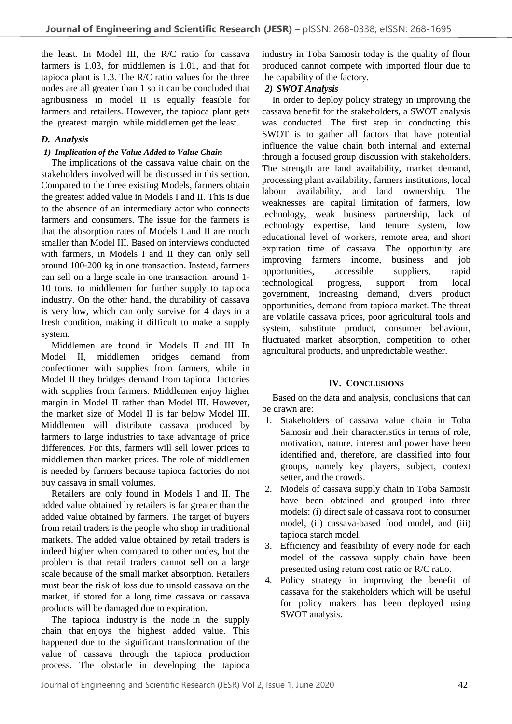the least. In Model III, the R/C ratio for cassava farmers is 1.03, for middlemen is 1.01, and that for tapioca plant is 1.3. The R/C ratio values for the three nodes are all greater than 1 so it can be concluded that agribusiness in model II is equally feasible for farmers and retailers. However, the tapioca plant gets the greatest margin while middlemen get the least.

### *D. Analysis*

#### *1) Implication of the Value Added to Value Chain*

The implications of the cassava value chain on the stakeholders involved will be discussed in this section. Compared to the three existing Models, farmers obtain the greatest added value in Models I and II. This is due to the absence of an intermediary actor who connects farmers and consumers. The issue for the farmers is that the absorption rates of Models I and II are much smaller than Model III. Based on interviews conducted with farmers, in Models I and II they can only sell around 100-200 kg in one transaction. Instead, farmers can sell on a large scale in one transaction, around 1- 10 tons, to middlemen for further supply to tapioca industry. On the other hand, the durability of cassava is very low, which can only survive for 4 days in a fresh condition, making it difficult to make a supply system.

Middlemen are found in Models II and III. In Model II, middlemen bridges demand from confectioner with supplies from farmers, while in Model II they bridges demand from tapioca factories with supplies from farmers. Middlemen enjoy higher margin in Model II rather than Model III. However, the market size of Model II is far below Model III. Middlemen will distribute cassava produced by farmers to large industries to take advantage of price differences. For this, farmers will sell lower prices to middlemen than market prices. The role of middlemen is needed by farmers because tapioca factories do not buy cassava in small volumes.

Retailers are only found in Models I and II. The added value obtained by retailers is far greater than the added value obtained by farmers. The target of buyers from retail traders is the people who shop in traditional markets. The added value obtained by retail traders is indeed higher when compared to other nodes, but the problem is that retail traders cannot sell on a large scale because of the small market absorption. Retailers must bear the risk of loss due to unsold cassava on the market, if stored for a long time cassava or cassava products will be damaged due to expiration.

The tapioca industry is the node in the supply chain that enjoys the highest added value. This happened due to the significant transformation of the value of cassava through the tapioca production process. The obstacle in developing the tapioca industry in Toba Samosir today is the quality of flour produced cannot compete with imported flour due to the capability of the factory.

#### *2) SWOT Analysis*

In order to deploy policy strategy in improving the cassava benefit for the stakeholders, a SWOT analysis was conducted. The first step in conducting this SWOT is to gather all factors that have potential influence the value chain both internal and external through a focused group discussion with stakeholders. The strength are land availability, market demand, processing plant availability, farmers institutions, local labour availability, and land ownership. The weaknesses are capital limitation of farmers, low technology, weak business partnership, lack of technology expertise, land tenure system, low educational level of workers, remote area, and short expiration time of cassava. The opportunity are improving farmers income, business and job opportunities, accessible suppliers, rapid technological progress, support from local government, increasing demand, divers product opportunities, demand from tapioca market. The threat are volatile cassava prices, poor agricultural tools and system, substitute product, consumer behaviour, fluctuated market absorption, competition to other agricultural products, and unpredictable weather.

#### **IV. CONCLUSIONS**

Based on the data and analysis, conclusions that can be drawn are:

- 1. Stakeholders of cassava value chain in Toba Samosir and their characteristics in terms of role, motivation, nature, interest and power have been identified and, therefore, are classified into four groups, namely key players, subject, context setter, and the crowds.
- 2. Models of cassava supply chain in Toba Samosir have been obtained and grouped into three models: (i) direct sale of cassava root to consumer model, (ii) cassava-based food model, and (iii) tapioca starch model.
- 3. Efficiency and feasibility of every node for each model of the cassava supply chain have been presented using return cost ratio or R/C ratio.
- 4. Policy strategy in improving the benefit of cassava for the stakeholders which will be useful for policy makers has been deployed using SWOT analysis.

Journal of Engineering and Scientific Research (JESR) Vol 2, Issue 1, June 2020 42